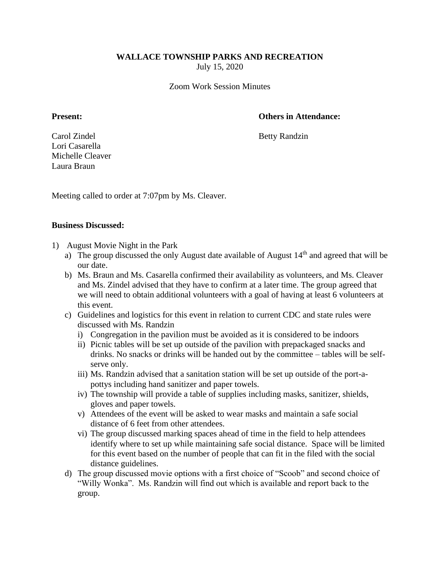# **WALLACE TOWNSHIP PARKS AND RECREATION**

July 15, 2020

Zoom Work Session Minutes

## **Present: Others in Attendance:**

Carol Zindel Betty Randzin Lori Casarella Michelle Cleaver Laura Braun

Meeting called to order at 7:07pm by Ms. Cleaver.

#### **Business Discussed:**

- 1) August Movie Night in the Park
	- a) The group discussed the only August date available of August  $14<sup>th</sup>$  and agreed that will be our date.
	- b) Ms. Braun and Ms. Casarella confirmed their availability as volunteers, and Ms. Cleaver and Ms. Zindel advised that they have to confirm at a later time. The group agreed that we will need to obtain additional volunteers with a goal of having at least 6 volunteers at this event.
	- c) Guidelines and logistics for this event in relation to current CDC and state rules were discussed with Ms. Randzin
		- i) Congregation in the pavilion must be avoided as it is considered to be indoors
		- ii) Picnic tables will be set up outside of the pavilion with prepackaged snacks and drinks. No snacks or drinks will be handed out by the committee – tables will be selfserve only.
		- iii) Ms. Randzin advised that a sanitation station will be set up outside of the port-apottys including hand sanitizer and paper towels.
		- iv) The township will provide a table of supplies including masks, sanitizer, shields, gloves and paper towels.
		- v) Attendees of the event will be asked to wear masks and maintain a safe social distance of 6 feet from other attendees.
		- vi) The group discussed marking spaces ahead of time in the field to help attendees identify where to set up while maintaining safe social distance. Space will be limited for this event based on the number of people that can fit in the filed with the social distance guidelines.
	- d) The group discussed movie options with a first choice of "Scoob" and second choice of "Willy Wonka". Ms. Randzin will find out which is available and report back to the group.